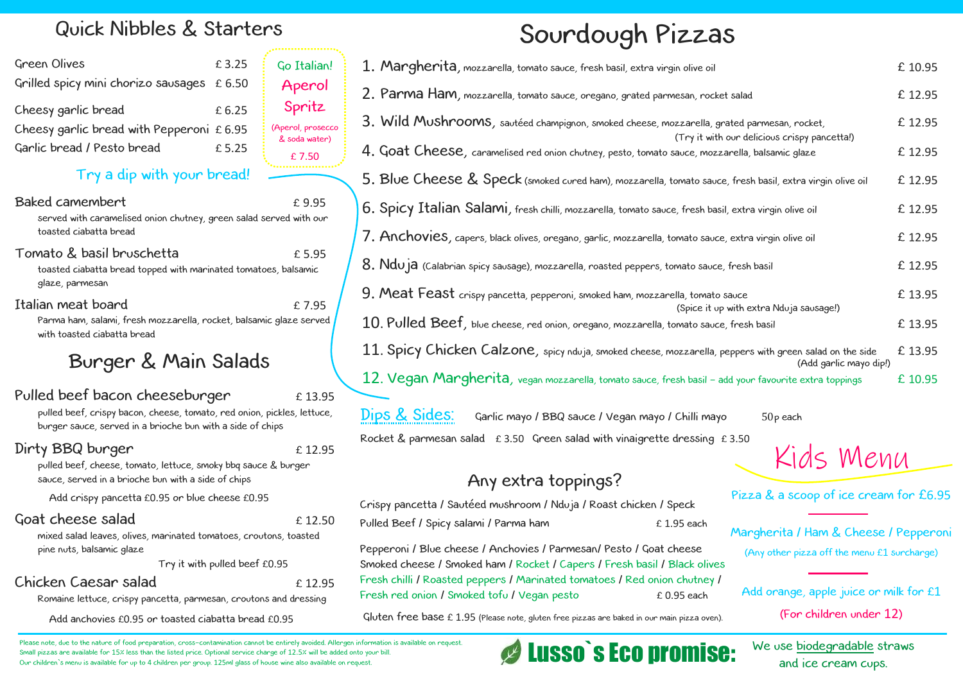# Sourdough Pizzas

Crispy pancetta / Sautéed mushroom / Nduja / Roast chicken / Speck Pulled Beef / Spicy salami / Parma ham  $£ 1.95$  each

.<br>ר Pepperoni / Blue cheese / Anchovies / Parmesan/ Pesto / Goat cheese Smoked cheese / Smoked ham / Rocket / Capers / Fresh basil / Black olives Fresh chilli / Roasted peppers / Marinated tomatoes / Red onion chutney / Fresh red onion / Smoked tofu / Vegan pesto the 0.95 each

Gluten free base £ 1.95 (Please note, gluten free pizzas are baked in our main pizza oven).

### Baked camembert entitled to the state of the state of the state of the state of the state of the state of the state of the state of the state of the state of the state of the state of the state of the state of the state of served with caramelised onion chutney, green salad served with our toasted ciabatta bread

## Any extra toppings?

## Quick Nibbles & Starters

| 1. Margherita, mozzarella, tomato sauce, fresh basil, extra virgin olive oil                                                                   | £ 10.95 |
|------------------------------------------------------------------------------------------------------------------------------------------------|---------|
| 2. Parma Ham, mozzarella, tomato sauce, oregano, grated parmesan, rocket salad                                                                 | £ 12.95 |
| 3. Wild Mushrooms, sautéed champignon, smoked cheese, mozzarella, grated parmesan, rocket,                                                     | £ 12.95 |
| (Try it with our delicious crispy pancetta!)<br>4. Goat Cheese, caramelised red onion chutney, pesto, tomato sauce, mozzarella, balsamic glaze | £ 12.95 |
| 5. Blue Cheese & Speck (smoked cured ham), mozzarella, tomato sauce, fresh basil, extra virgin olive oil                                       | £ 12.95 |
| 6. Spicy Italian Salami, fresh chilli, mozzarella, tomato sauce, fresh basil, extra virgin olive oil                                           | £ 12.95 |
| 7. Anchovies, capers, black olives, oregano, garlic, mozzarella, tomato sauce, extra virgin olive oil                                          | £ 12.95 |
| $8.$ $Ndu$ $a$ (Calabrian spicy sausage), mozzarella, roasted peppers, tomato sauce, fresh basil                                               | £ 12.95 |
| 9. Meat Feast crispy pancetta, pepperoni, smoked ham, mozzarella, tomato sauce<br>(Spice it up with extra Nduja sausage!)                      | £ 13.95 |
| $10$ . $P$ u ${\sf led}~\text{Beef}$ , blue cheese, red onion, oregano, mozzarella, tomato sauce, fresh basil                                  | £13.95  |
| 11. Spicy Chicken Calzone, spicy nduja, smoked cheese, mozzarella, peppers with green salad on the side<br>(Add garlic mayo dip!)              | £13.95  |
| 12. Vegan Margherita, vegan mozzarella, tomato sauce, fresh basil - add your favourite extra toppings                                          | £ 10.95 |
| Dips & Sides:<br>Garlic mayo / BBQ sauce / Vegan mayo / Chilli mayo<br>$50p$ each                                                              |         |
| Rocket & parmesan salad $\pm 3.50$ Green salad with vinaigrette dressing £3.50<br>$\sim$ $\sim$ $\sim$ $\sim$ $\sim$ $\sim$                    |         |

### Tomato & basil bruschetta £ 5.95 toasted ciabatta bread topped with marinated tomatoes, balsamic

glaze, parmesan

### Italian meat board **Example 1** to 7.95

Parma ham, salami, fresh mozzarella, rocket, balsamic glaze served with toasted ciabatta bread

## Burger & Main Salads

## Pulled beef bacon cheeseburger  $£ 13.95$

pulled beef, crispy bacon, cheese, tomato, red onion, pickles, lettuce, burger sauce, served in a brioche bun with a side of chips

### Dirty BBQ burger  $£ 12.95$

pulled beef, cheese, tomato, lettuce, smoky bbq sauce & burger sauce, served in a brioche bun with a side of chips

Add crispy pancetta £0.95 or blue cheese £0.95

## Goat cheese salad E 12.50

mixed salad leaves, olives, marinated tomatoes, croutons, toasted pine nuts, balsamic glaze

Try it with pulled beef £0.95

## Chicken Caesar salad £ 12.95

| <b>Green Olives</b>                         | £3.25 | Go Italian!            |  |
|---------------------------------------------|-------|------------------------|--|
| Grilled spicy mini chorizo sausages £ 6.50  |       | Aperol                 |  |
| Cheesy garlic bread                         | £6.25 | Spritz                 |  |
| Cheesy garlic bread with Pepperoni $£ 6.95$ |       | (Aperol, prosecco      |  |
| Garlic bread / Pesto bread                  | £5.25 | & soda water)<br>£7.50 |  |

Romaine lettuce, crispy pancetta, parmesan, croutons and dressing

Add anchovies £0.95 or toasted ciabatta bread £0.95

Please note, due to the nature of food preparation, cross-contamination cannot be entirely avoided. Allergen information is available on request. Small pizzas are available for 15% less than the listed price. Optional service charge of 12.5% will be added onto your bill. Our children`s menu is available for up to 4 children per group. 125ml glass of house wine also available on request.

# Lusso`s Eco promise: We use biodegradable st

Kids Menu

Pizza & a scoop of ice cream for £6.95

Margherita / Ham & Cheese / Pepperoni (Any other pizza off the menu £1 surcharge)

Add orange, apple juice or milk for £1

(For children under 12)

We use biodegradable straws

## Try a dip with your bread!